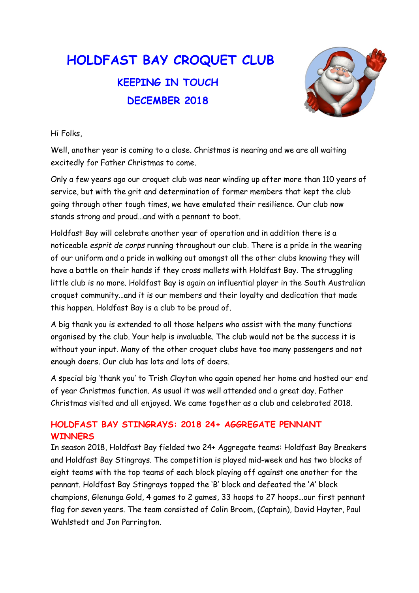# HOLDFAST BAY CROQUET CLUB KEEPING IN TOUCH DECEMBER 2018



Hi Folks,

Well, another year is coming to a close. Christmas is nearing and we are all waiting excitedly for Father Christmas to come.

Only a few years ago our croquet club was near winding up after more than 110 years of service, but with the grit and determination of former members that kept the club going through other tough times, we have emulated their resilience. Our club now stands strong and proud…and with a pennant to boot.

Holdfast Bay will celebrate another year of operation and in addition there is a noticeable esprit de corps running throughout our club. There is a pride in the wearing of our uniform and a pride in walking out amongst all the other clubs knowing they will have a battle on their hands if they cross mallets with Holdfast Bay. The struggling little club is no more. Holdfast Bay is again an influential player in the South Australian croquet community…and it is our members and their loyalty and dedication that made this happen. Holdfast Bay is a club to be proud of.

A big thank you is extended to all those helpers who assist with the many functions organised by the club. Your help is invaluable. The club would not be the success it is without your input. Many of the other croquet clubs have too many passengers and not enough doers. Our club has lots and lots of doers.

A special big 'thank you' to Trish Clayton who again opened her home and hosted our end of year Christmas function. As usual it was well attended and a great day. Father Christmas visited and all enjoyed. We came together as a club and celebrated 2018.

## HOLDFAST BAY STINGRAYS: 2018 24+ AGGREGATE PENNANT **WINNERS**

In season 2018, Holdfast Bay fielded two 24+ Aggregate teams: Holdfast Bay Breakers and Holdfast Bay Stingrays. The competition is played mid-week and has two blocks of eight teams with the top teams of each block playing off against one another for the pennant. Holdfast Bay Stingrays topped the 'B' block and defeated the 'A' block champions, Glenunga Gold, 4 games to 2 games, 33 hoops to 27 hoops…our first pennant flag for seven years. The team consisted of Colin Broom, (Captain), David Hayter, Paul Wahlstedt and Jon Parrington.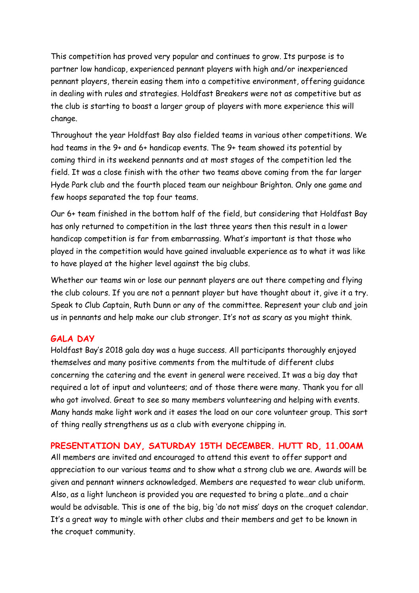This competition has proved very popular and continues to grow. Its purpose is to partner low handicap, experienced pennant players with high and/or inexperienced pennant players, therein easing them into a competitive environment, offering guidance in dealing with rules and strategies. Holdfast Breakers were not as competitive but as the club is starting to boast a larger group of players with more experience this will change.

Throughout the year Holdfast Bay also fielded teams in various other competitions. We had teams in the 9+ and 6+ handicap events. The 9+ team showed its potential by coming third in its weekend pennants and at most stages of the competition led the field. It was a close finish with the other two teams above coming from the far larger Hyde Park club and the fourth placed team our neighbour Brighton. Only one game and few hoops separated the top four teams.

Our 6+ team finished in the bottom half of the field, but considering that Holdfast Bay has only returned to competition in the last three years then this result in a lower handicap competition is far from embarrassing. What's important is that those who played in the competition would have gained invaluable experience as to what it was like to have played at the higher level against the big clubs.

Whether our teams win or lose our pennant players are out there competing and flying the club colours. If you are not a pennant player but have thought about it, give it a try. Speak to Club Captain, Ruth Dunn or any of the committee. Represent your club and join us in pennants and help make our club stronger. It's not as scary as you might think.

### GALA DAY

Holdfast Bay's 2018 gala day was a huge success. All participants thoroughly enjoyed themselves and many positive comments from the multitude of different clubs concerning the catering and the event in general were received. It was a big day that required a lot of input and volunteers; and of those there were many. Thank you for all who got involved. Great to see so many members volunteering and helping with events. Many hands make light work and it eases the load on our core volunteer group. This sort of thing really strengthens us as a club with everyone chipping in.

#### PRESENTATION DAY, SATURDAY 15TH DECEMBER. HUTT RD, 11.00AM

All members are invited and encouraged to attend this event to offer support and appreciation to our various teams and to show what a strong club we are. Awards will be given and pennant winners acknowledged. Members are requested to wear club uniform. Also, as a light luncheon is provided you are requested to bring a plate…and a chair would be advisable. This is one of the big, big 'do not miss' days on the croquet calendar. It's a great way to mingle with other clubs and their members and get to be known in the croquet community.